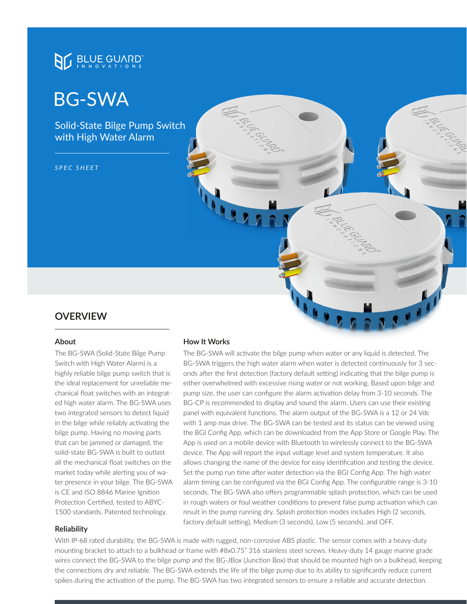

# BG-SWA

Solid-State Bilge Pump Switch with High Water Alarm

*SPEC SHEET*



#### **About**

The BG-SWA (Solid-State Bilge Pump Switch with High Water Alarm) is a highly reliable bilge pump switch that is the ideal replacement for unreliable mechanical float switches with an integrated high water alarm. The BG-SWA uses two integrated sensors to detect liquid in the bilge while reliably activating the bilge pump. Having no moving parts that can be jammed or damaged, the solid-state BG-SWA is built to outlast all the mechanical float switches on the market today while alerting you of water presence in your bilge. The BG-SWA is CE and ISO 8846 Marine Ignition Protection Certified, tested to ABYC-1500 standards. Patented technology.

# **How It Works**

The BG-SWA will activate the bilge pump when water or any liquid is detected. The BG-SWA triggers the high water alarm when water is detected continuously for 3 seconds after the first detection (factory default setting) indicating that the bilge pump is either overwhelmed with excessive rising water or not working. Based upon bilge and pump size, the user can configure the alarm activation delay from 3-10 seconds. The BG-CP is recommended to display and sound the alarm. Users can use their existing panel with equivalent functions. The alarm output of the BG-SWA is a 12 or 24 Vdc with 1 amp max drive. The BG-SWA can be tested and its status can be viewed using the BGI Config App, which can be downloaded from the App Store or Google Play. The App is used on a mobile device with Bluetooth to wirelessly connect to the BG-SWA device. The App will report the input voltage level and system temperature. It also allows changing the name of the device for easy identification and testing the device. Set the pump run time after water detection via the BGI Config App. The high water alarm timing can be configured via the BGI Config App. The configurable range is 3-10 seconds. The BG-SWA also offers programmable splash protection, which can be used in rough waters or foul weather conditions to prevent false pump activation which can result in the pump running dry. Splash protection modes includes High (2 seconds, factory default setting), Medium (3 seconds), Low (5 seconds), and OFF.

#### **Reliability**

With IP-68 rated durability, the BG-SWA is made with rugged, non-corrosive ABS plastic. The sensor comes with a heavy-duty mounting bracket to attach to a bulkhead or frame with #8x0.75" 316 stainless steel screws. Heavy-duty 14 gauge marine grade wires connect the BG-SWA to the bilge pump and the BG-JBox (Junction Box) that should be mounted high on a bulkhead, keeping the connections dry and reliable. The BG-SWA extends the life of the bilge pump due to its ability to significantly reduce current spikes during the activation of the pump. The BG-SWA has two integrated sensors to ensure a reliable and accurate detection.